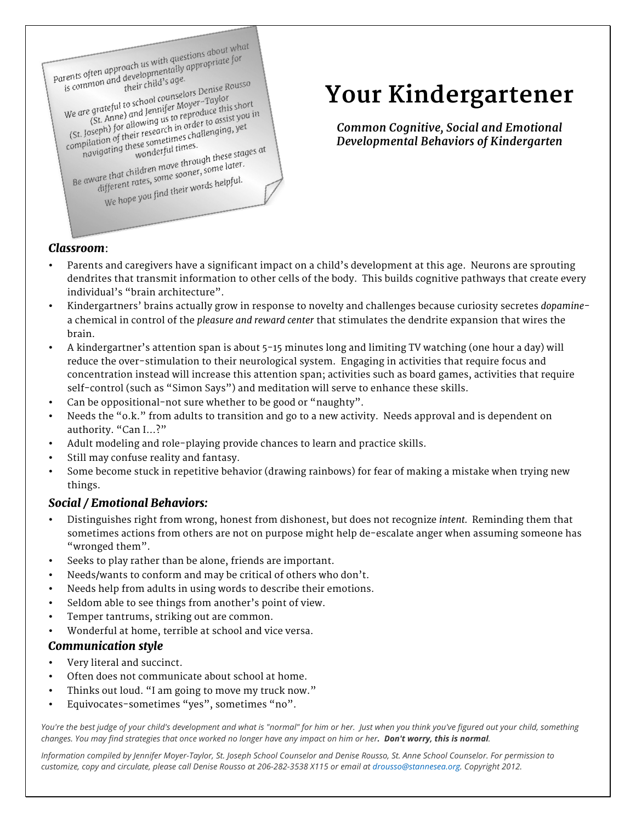

# **Your Kindergartener**

*Common Cognitive, Social and Emotional Developmental Behaviors of Kindergarten*

## *Classroom*:

- Parents and caregivers have a significant impact on a child's development at this age. Neurons are sprouting dendrites that transmit information to other cells of the body. This builds cognitive pathways that create every individual's "brain architecture".
- Kindergartners' brains actually grow in response to novelty and challenges because curiosity secretes *dopamine*a chemical in control of the *pleasure and reward center* that stimulates the dendrite expansion that wires the brain.
- A kindergartner's attention span is about 5-15 minutes long and limiting TV watching (one hour a day) will reduce the over-stimulation to their neurological system. Engaging in activities that require focus and concentration instead will increase this attention span; activities such as board games, activities that require self-control (such as "Simon Says") and meditation will serve to enhance these skills.
- Can be oppositional-not sure whether to be good or "naughty".
- Needs the "o.k." from adults to transition and go to a new activity. Needs approval and is dependent on authority. "Can I…?"
- Adult modeling and role-playing provide chances to learn and practice skills.
- Still may confuse reality and fantasy.
- Some become stuck in repetitive behavior (drawing rainbows) for fear of making a mistake when trying new things.

## *Social / Emotional Behaviors:*

- Distinguishes right from wrong, honest from dishonest, but does not recognize *intent.* Reminding them that sometimes actions from others are not on purpose might help de-escalate anger when assuming someone has "wronged them".
- Seeks to play rather than be alone, friends are important.
- Needs/wants to conform and may be critical of others who don't.
- Needs help from adults in using words to describe their emotions.
- Seldom able to see things from another's point of view.
- Temper tantrums, striking out are common.
- Wonderful at home, terrible at school and vice versa.

### *Communication style*

- Very literal and succinct.
- Often does not communicate about school at home.
- Thinks out loud. "I am going to move my truck now."
- Equivocates-sometimes "yes", sometimes "no".

*You're the best judge of your child's development and what is "normal" for him or her. Just when you think you've figured out your child, something changes. You may find strategies that once worked no longer have any impact on him or her. Don't worry, this is normal.* 

*Information compiled by Jennifer Moyer-Taylor, St. Joseph School Counselor and Denise Rousso, St. Anne School Counselor. For permission to customize, copy and circulate, please call Denise Rousso at 206-282-3538 X115 or email at drousso@stannesea.org. Copyright 2012.*